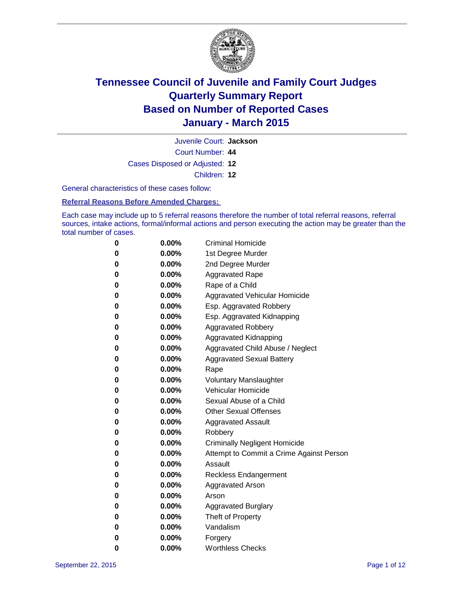

Juvenile Court: **Jackson**

Court Number: **44**

Cases Disposed or Adjusted: **12**

Children: **12**

General characteristics of these cases follow:

**Referral Reasons Before Amended Charges:** 

Each case may include up to 5 referral reasons therefore the number of total referral reasons, referral sources, intake actions, formal/informal actions and person executing the action may be greater than the total number of cases.

| 0        | $0.00\%$ | <b>Criminal Homicide</b>                 |
|----------|----------|------------------------------------------|
| $\bf{0}$ | $0.00\%$ | 1st Degree Murder                        |
| $\bf{0}$ | $0.00\%$ | 2nd Degree Murder                        |
| 0        | $0.00\%$ | <b>Aggravated Rape</b>                   |
| 0        | $0.00\%$ | Rape of a Child                          |
| 0        | $0.00\%$ | <b>Aggravated Vehicular Homicide</b>     |
| 0        | $0.00\%$ | Esp. Aggravated Robbery                  |
| 0        | $0.00\%$ | Esp. Aggravated Kidnapping               |
| 0        | $0.00\%$ | <b>Aggravated Robbery</b>                |
| $\bf{0}$ | $0.00\%$ | <b>Aggravated Kidnapping</b>             |
| 0        | $0.00\%$ | Aggravated Child Abuse / Neglect         |
| 0        | $0.00\%$ | <b>Aggravated Sexual Battery</b>         |
| 0        | $0.00\%$ | Rape                                     |
| 0        | 0.00%    | <b>Voluntary Manslaughter</b>            |
| 0        | $0.00\%$ | Vehicular Homicide                       |
| 0        | $0.00\%$ | Sexual Abuse of a Child                  |
| 0        | $0.00\%$ | <b>Other Sexual Offenses</b>             |
| $\bf{0}$ | $0.00\%$ | <b>Aggravated Assault</b>                |
| 0        | $0.00\%$ | Robbery                                  |
| 0        | $0.00\%$ | <b>Criminally Negligent Homicide</b>     |
| 0        | $0.00\%$ | Attempt to Commit a Crime Against Person |
| $\bf{0}$ | 0.00%    | Assault                                  |
| 0        | $0.00\%$ | Reckless Endangerment                    |
| 0        | $0.00\%$ | <b>Aggravated Arson</b>                  |
| 0        | $0.00\%$ | Arson                                    |
| 0        | $0.00\%$ | <b>Aggravated Burglary</b>               |
| 0        | $0.00\%$ | Theft of Property                        |
| $\bf{0}$ | $0.00\%$ | Vandalism                                |
| 0        | 0.00%    | Forgery                                  |
| 0        | 0.00%    | <b>Worthless Checks</b>                  |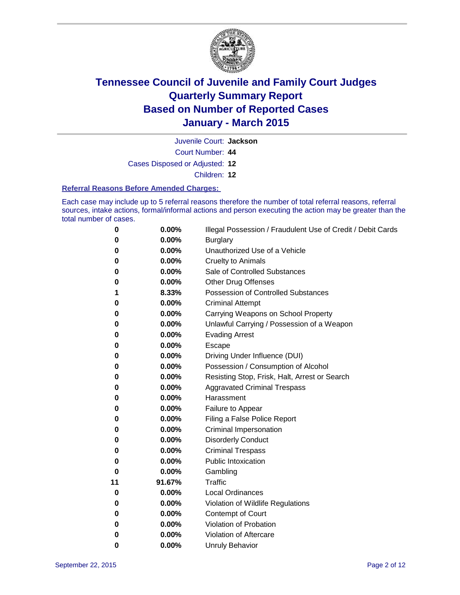

Juvenile Court: **Jackson**

Court Number: **44**

Cases Disposed or Adjusted: **12**

Children: **12**

#### **Referral Reasons Before Amended Charges:**

Each case may include up to 5 referral reasons therefore the number of total referral reasons, referral sources, intake actions, formal/informal actions and person executing the action may be greater than the total number of cases.

| 0        | 0.00%  | Illegal Possession / Fraudulent Use of Credit / Debit Cards |
|----------|--------|-------------------------------------------------------------|
| 0        | 0.00%  | <b>Burglary</b>                                             |
| 0        | 0.00%  | Unauthorized Use of a Vehicle                               |
| 0        | 0.00%  | Cruelty to Animals                                          |
| 0        | 0.00%  | Sale of Controlled Substances                               |
| 0        | 0.00%  | Other Drug Offenses                                         |
| 1        | 8.33%  | <b>Possession of Controlled Substances</b>                  |
| 0        | 0.00%  | <b>Criminal Attempt</b>                                     |
| 0        | 0.00%  | Carrying Weapons on School Property                         |
| 0        | 0.00%  | Unlawful Carrying / Possession of a Weapon                  |
| 0        | 0.00%  | <b>Evading Arrest</b>                                       |
| 0        | 0.00%  | Escape                                                      |
| 0        | 0.00%  | Driving Under Influence (DUI)                               |
| 0        | 0.00%  | Possession / Consumption of Alcohol                         |
| 0        | 0.00%  | Resisting Stop, Frisk, Halt, Arrest or Search               |
| 0        | 0.00%  | <b>Aggravated Criminal Trespass</b>                         |
| 0        | 0.00%  | Harassment                                                  |
| 0        | 0.00%  | Failure to Appear                                           |
| 0        | 0.00%  | Filing a False Police Report                                |
| 0        | 0.00%  | <b>Criminal Impersonation</b>                               |
| 0        | 0.00%  | <b>Disorderly Conduct</b>                                   |
| 0        | 0.00%  | <b>Criminal Trespass</b>                                    |
| 0        | 0.00%  | <b>Public Intoxication</b>                                  |
| $\bf{0}$ | 0.00%  | Gambling                                                    |
| 11       | 91.67% | <b>Traffic</b>                                              |
| 0        | 0.00%  | <b>Local Ordinances</b>                                     |
| 0        | 0.00%  | Violation of Wildlife Regulations                           |
| 0        | 0.00%  | Contempt of Court                                           |
| 0        | 0.00%  | Violation of Probation                                      |
| 0        | 0.00%  | Violation of Aftercare                                      |
| 0        | 0.00%  | <b>Unruly Behavior</b>                                      |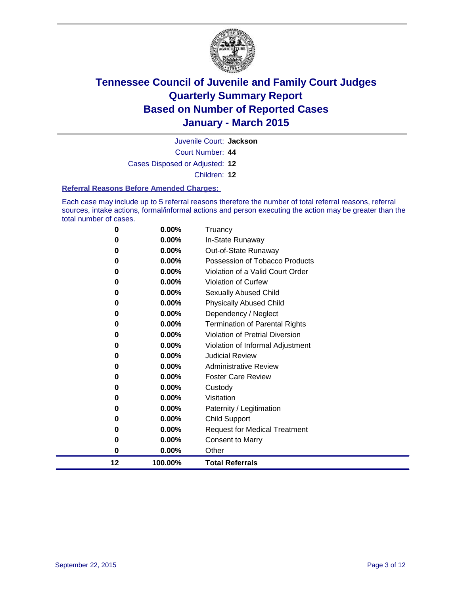

Juvenile Court: **Jackson**

Court Number: **44**

Cases Disposed or Adjusted: **12**

Children: **12**

#### **Referral Reasons Before Amended Charges:**

Each case may include up to 5 referral reasons therefore the number of total referral reasons, referral sources, intake actions, formal/informal actions and person executing the action may be greater than the total number of cases.

| 0  | 0.00%    | Truancy                               |
|----|----------|---------------------------------------|
| 0  | 0.00%    | In-State Runaway                      |
| 0  | 0.00%    | Out-of-State Runaway                  |
| 0  | 0.00%    | Possession of Tobacco Products        |
| 0  | $0.00\%$ | Violation of a Valid Court Order      |
| 0  | 0.00%    | <b>Violation of Curfew</b>            |
| 0  | 0.00%    | <b>Sexually Abused Child</b>          |
| 0  | 0.00%    | <b>Physically Abused Child</b>        |
| 0  | 0.00%    | Dependency / Neglect                  |
| 0  | 0.00%    | <b>Termination of Parental Rights</b> |
| 0  | 0.00%    | Violation of Pretrial Diversion       |
| 0  | $0.00\%$ | Violation of Informal Adjustment      |
| 0  | 0.00%    | <b>Judicial Review</b>                |
| 0  | $0.00\%$ | <b>Administrative Review</b>          |
| 0  | 0.00%    | <b>Foster Care Review</b>             |
| 0  | 0.00%    | Custody                               |
| 0  | $0.00\%$ | Visitation                            |
| 0  | 0.00%    | Paternity / Legitimation              |
| 0  | 0.00%    | <b>Child Support</b>                  |
| 0  | 0.00%    | <b>Request for Medical Treatment</b>  |
| 0  | 0.00%    | <b>Consent to Marry</b>               |
| 0  | 0.00%    | Other                                 |
| 12 | 100.00%  | <b>Total Referrals</b>                |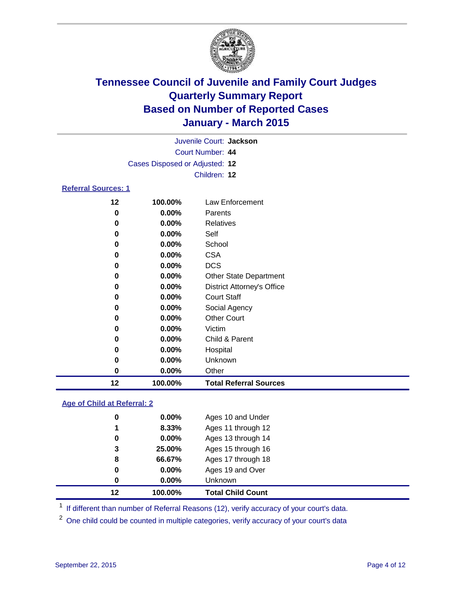

|                            |                                | Juvenile Court: Jackson           |  |
|----------------------------|--------------------------------|-----------------------------------|--|
|                            |                                | Court Number: 44                  |  |
|                            | Cases Disposed or Adjusted: 12 |                                   |  |
|                            |                                | Children: 12                      |  |
| <b>Referral Sources: 1</b> |                                |                                   |  |
| 12                         | 100.00%                        | Law Enforcement                   |  |
|                            |                                |                                   |  |
| 0                          | 0.00%                          | Parents                           |  |
| 0                          | $0.00\%$                       | Relatives                         |  |
| 0                          | 0.00%                          | Self                              |  |
| 0                          | $0.00\%$                       | School                            |  |
| 0                          | 0.00%                          | <b>CSA</b>                        |  |
| 0                          | 0.00%                          | <b>DCS</b>                        |  |
| 0                          | 0.00%                          | <b>Other State Department</b>     |  |
| 0                          | 0.00%                          | <b>District Attorney's Office</b> |  |
| 0                          | 0.00%                          | <b>Court Staff</b>                |  |
| 0                          | 0.00%                          | Social Agency                     |  |
| 0                          | 0.00%                          | <b>Other Court</b>                |  |
| 0                          | 0.00%                          | Victim                            |  |
| 0                          | 0.00%                          | Child & Parent                    |  |
| 0                          | 0.00%                          | Hospital                          |  |
| 0                          | $0.00\%$                       | Unknown                           |  |
| 0                          | 0.00%                          | Other                             |  |

#### **Age of Child at Referral: 2**

| 12 | 100.00%  | <b>Total Child Count</b> |
|----|----------|--------------------------|
| 0  | $0.00\%$ | Unknown                  |
| 0  | $0.00\%$ | Ages 19 and Over         |
| 8  | 66.67%   | Ages 17 through 18       |
| 3  | 25.00%   | Ages 15 through 16       |
| 0  | $0.00\%$ | Ages 13 through 14       |
| 1  | 8.33%    | Ages 11 through 12       |
| 0  | $0.00\%$ | Ages 10 and Under        |

<sup>1</sup> If different than number of Referral Reasons (12), verify accuracy of your court's data.

**100.00% Total Referral Sources**

One child could be counted in multiple categories, verify accuracy of your court's data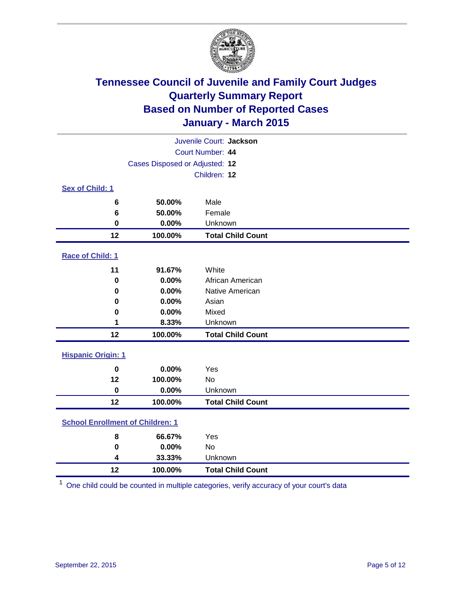

|                                         | Juvenile Court: Jackson |                          |  |  |  |
|-----------------------------------------|-------------------------|--------------------------|--|--|--|
| Court Number: 44                        |                         |                          |  |  |  |
| Cases Disposed or Adjusted: 12          |                         |                          |  |  |  |
|                                         |                         | Children: 12             |  |  |  |
| Sex of Child: 1                         |                         |                          |  |  |  |
| 6                                       | 50.00%                  | Male                     |  |  |  |
| 6                                       | 50.00%                  | Female                   |  |  |  |
| 0                                       | 0.00%                   | Unknown                  |  |  |  |
| 12                                      | 100.00%                 | <b>Total Child Count</b> |  |  |  |
| Race of Child: 1                        |                         |                          |  |  |  |
| 11                                      | 91.67%                  | White                    |  |  |  |
| $\bf{0}$                                | 0.00%                   | African American         |  |  |  |
| 0                                       | 0.00%                   | Native American          |  |  |  |
| 0                                       | 0.00%                   | Asian                    |  |  |  |
| 0                                       | 0.00%                   | Mixed                    |  |  |  |
| 1                                       | 8.33%                   | Unknown                  |  |  |  |
| 12                                      | 100.00%                 | <b>Total Child Count</b> |  |  |  |
| <b>Hispanic Origin: 1</b>               |                         |                          |  |  |  |
| $\mathbf 0$                             | 0.00%                   | Yes                      |  |  |  |
| 12                                      | 100.00%                 | No                       |  |  |  |
| $\bf{0}$                                | 0.00%                   | Unknown                  |  |  |  |
| 12                                      | 100.00%                 | <b>Total Child Count</b> |  |  |  |
| <b>School Enrollment of Children: 1</b> |                         |                          |  |  |  |
| 8                                       | 66.67%                  | Yes                      |  |  |  |
| $\bf{0}$                                | 0.00%                   | <b>No</b>                |  |  |  |
| 4                                       | 33.33%                  | Unknown                  |  |  |  |
| 12                                      | 100.00%                 | <b>Total Child Count</b> |  |  |  |

One child could be counted in multiple categories, verify accuracy of your court's data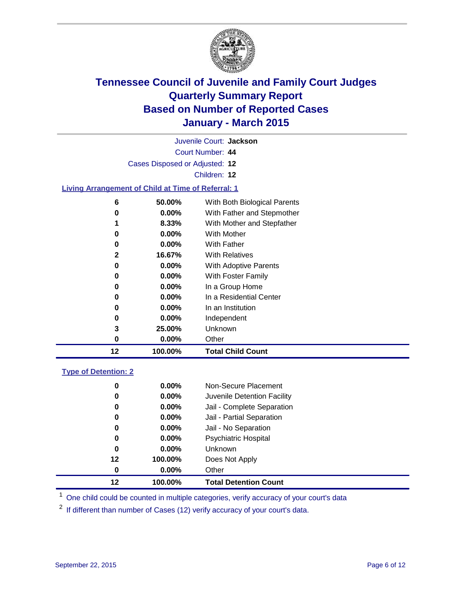

|                                                           |                                | Juvenile Court: Jackson      |  |
|-----------------------------------------------------------|--------------------------------|------------------------------|--|
|                                                           |                                | Court Number: 44             |  |
|                                                           | Cases Disposed or Adjusted: 12 |                              |  |
|                                                           |                                | Children: 12                 |  |
| <b>Living Arrangement of Child at Time of Referral: 1</b> |                                |                              |  |
| 6                                                         | 50.00%                         | With Both Biological Parents |  |
| 0                                                         | $0.00\%$                       | With Father and Stepmother   |  |
|                                                           | 8.33%                          | With Mother and Stepfather   |  |
| 0                                                         | 0.00%                          | <b>With Mother</b>           |  |
| 0                                                         | $0.00\%$                       | With Father                  |  |
| $\overline{\mathbf{2}}$                                   | 16.67%                         | <b>With Relatives</b>        |  |
| 0                                                         | 0.00%                          | With Adoptive Parents        |  |
| 0                                                         | $0.00\%$                       | With Foster Family           |  |
| 0                                                         | $0.00\%$                       | In a Group Home              |  |
| 0                                                         | $0.00\%$                       | In a Residential Center      |  |
| 0                                                         | $0.00\%$                       | In an Institution            |  |
| 0                                                         | $0.00\%$                       | Independent                  |  |
| 3                                                         | 25.00%                         | Unknown                      |  |
| 0                                                         | 0.00%                          | Other                        |  |
| 12                                                        | 100.00%                        | <b>Total Child Count</b>     |  |
| <b>Type of Detention: 2</b>                               |                                |                              |  |
| 0                                                         | $0.00\%$                       | Non-Secure Placement         |  |
| ŋ                                                         | $0.00\%$                       | Juvenile Detention Facility  |  |

| 12 | 100.00%        | <b>Total Detention Count</b> |
|----|----------------|------------------------------|
| 0  | $0.00\%$       | Other                        |
| 12 | 100.00%        | Does Not Apply               |
| 0  | $0.00\%$       | <b>Unknown</b>               |
| 0  | $0.00\%$       | <b>Psychiatric Hospital</b>  |
| 0  | $0.00\%$       | Jail - No Separation         |
| 0  | $0.00\%$       | Jail - Partial Separation    |
| 0  | $0.00\%$       | Jail - Complete Separation   |
| 0  | $0.00\%$       | Juvenile Detention Facility  |
| u  | <b>V.VV</b> /0 | וזטוו־טכטעוכ רומטכוווסווג    |

<sup>1</sup> One child could be counted in multiple categories, verify accuracy of your court's data

If different than number of Cases (12) verify accuracy of your court's data.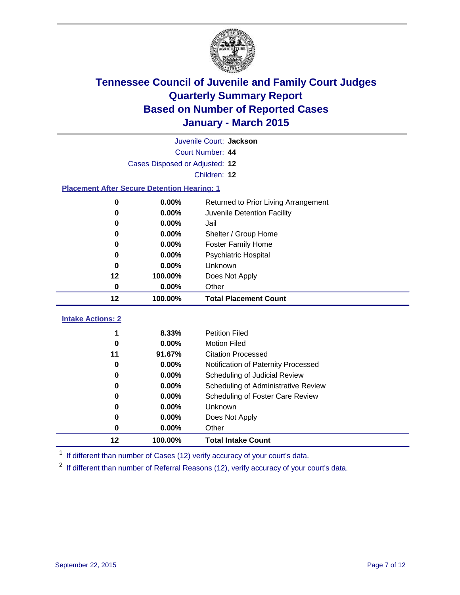

| Juvenile Court: Jackson                            |                                |                                      |  |  |  |
|----------------------------------------------------|--------------------------------|--------------------------------------|--|--|--|
|                                                    | Court Number: 44               |                                      |  |  |  |
|                                                    | Cases Disposed or Adjusted: 12 |                                      |  |  |  |
|                                                    |                                | Children: 12                         |  |  |  |
| <b>Placement After Secure Detention Hearing: 1</b> |                                |                                      |  |  |  |
| 0                                                  | 0.00%                          | Returned to Prior Living Arrangement |  |  |  |
| 0                                                  | 0.00%                          | Juvenile Detention Facility          |  |  |  |
| 0                                                  | 0.00%                          | Jail                                 |  |  |  |
| 0                                                  | 0.00%                          | Shelter / Group Home                 |  |  |  |
| 0                                                  | 0.00%                          | <b>Foster Family Home</b>            |  |  |  |
| 0                                                  | 0.00%                          | <b>Psychiatric Hospital</b>          |  |  |  |
| 0                                                  | 0.00%                          | Unknown                              |  |  |  |
| 12                                                 | 100.00%                        | Does Not Apply                       |  |  |  |
| $\bf{0}$                                           | $0.00\%$                       | Other                                |  |  |  |
|                                                    |                                |                                      |  |  |  |
| 12                                                 | 100.00%                        | <b>Total Placement Count</b>         |  |  |  |
| <b>Intake Actions: 2</b>                           |                                |                                      |  |  |  |
| 1                                                  | 8.33%                          | <b>Petition Filed</b>                |  |  |  |
| 0                                                  | 0.00%                          | <b>Motion Filed</b>                  |  |  |  |
| 11                                                 | 91.67%                         | <b>Citation Processed</b>            |  |  |  |
| 0                                                  | 0.00%                          | Notification of Paternity Processed  |  |  |  |
| $\bf{0}$                                           | 0.00%                          | Scheduling of Judicial Review        |  |  |  |
| 0                                                  | 0.00%                          | Scheduling of Administrative Review  |  |  |  |
| 0                                                  | 0.00%                          | Scheduling of Foster Care Review     |  |  |  |
| 0                                                  | 0.00%                          | Unknown                              |  |  |  |
| 0                                                  | 0.00%                          | Does Not Apply                       |  |  |  |
| 0                                                  | 0.00%                          | Other                                |  |  |  |

<sup>1</sup> If different than number of Cases (12) verify accuracy of your court's data.

<sup>2</sup> If different than number of Referral Reasons (12), verify accuracy of your court's data.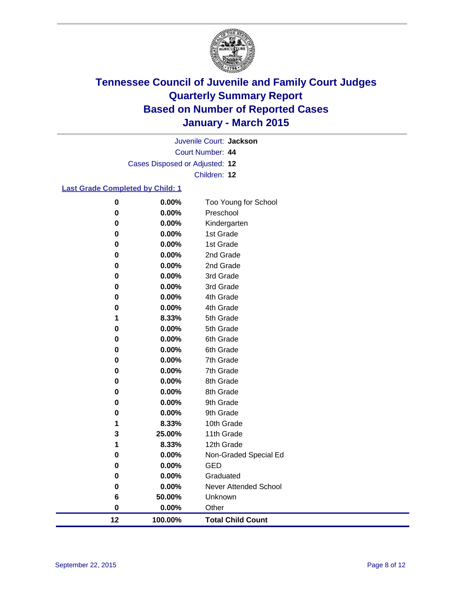

Court Number: **44** Juvenile Court: **Jackson** Cases Disposed or Adjusted: **12**

Children: **12**

#### **Last Grade Completed by Child: 1**

| 12       | 100.00%        | <b>Total Child Count</b>     |
|----------|----------------|------------------------------|
| 0        | 0.00%          | Other                        |
| 6        | 50.00%         | Unknown                      |
| 0        | 0.00%          | <b>Never Attended School</b> |
| 0        | 0.00%          | Graduated                    |
| 0        | 0.00%          | <b>GED</b>                   |
| 0        | 0.00%          | Non-Graded Special Ed        |
| 1        | 8.33%          | 12th Grade                   |
| 3        | 25.00%         | 11th Grade                   |
| 1        | 8.33%          | 10th Grade                   |
| 0        | 0.00%          | 9th Grade                    |
| 0        | 0.00%          | 9th Grade                    |
| 0        | 0.00%          | 8th Grade                    |
| 0        | 0.00%          | 8th Grade                    |
| 0        | 0.00%          | 7th Grade                    |
| 0        | 0.00%          | 7th Grade                    |
| 0<br>0   | 0.00%          | 6th Grade                    |
| 0        | 0.00%<br>0.00% | 5th Grade<br>6th Grade       |
| 1        | 8.33%          | 5th Grade                    |
| 0        | 0.00%          | 4th Grade                    |
| 0        | 0.00%          | 4th Grade                    |
| 0        | 0.00%          | 3rd Grade                    |
| 0        | 0.00%          | 3rd Grade                    |
| 0        | 0.00%          | 2nd Grade                    |
| 0        | 0.00%          | 2nd Grade                    |
| 0        | 0.00%          | 1st Grade                    |
| 0        | 0.00%          | 1st Grade                    |
| 0        | 0.00%          | Kindergarten                 |
| 0        | 0.00%          | Preschool                    |
| $\bf{0}$ | 0.00%          | Too Young for School         |
|          |                |                              |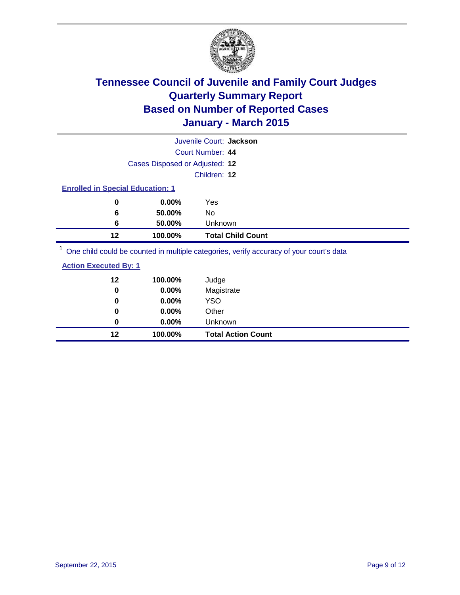

|                                         |          | Juvenile Court: Jackson                                                                 |  |  |
|-----------------------------------------|----------|-----------------------------------------------------------------------------------------|--|--|
| Court Number: 44                        |          |                                                                                         |  |  |
| Cases Disposed or Adjusted: 12          |          |                                                                                         |  |  |
|                                         |          | Children: 12                                                                            |  |  |
| <b>Enrolled in Special Education: 1</b> |          |                                                                                         |  |  |
| 0                                       | $0.00\%$ | Yes                                                                                     |  |  |
| 6                                       | 50.00%   | No.                                                                                     |  |  |
| 6                                       | 50.00%   | <b>Unknown</b>                                                                          |  |  |
| 12                                      | 100.00%  | <b>Total Child Count</b>                                                                |  |  |
|                                         |          | One child could be counted in multiple categories, verify accuracy of your court's data |  |  |

One child could be counted in multiple categories, verify accuracy of your court's data

| <b>Action Executed By: 1</b> |
|------------------------------|
|------------------------------|

| $12 \,$<br>0 | 100.00%<br>0.00% | Judge<br>Magistrate       |
|--------------|------------------|---------------------------|
| 0            | $0.00\%$         | <b>YSO</b>                |
| 0            | $0.00\%$         | Other                     |
| 0            | $0.00\%$         | Unknown                   |
| 12           | 100.00%          | <b>Total Action Count</b> |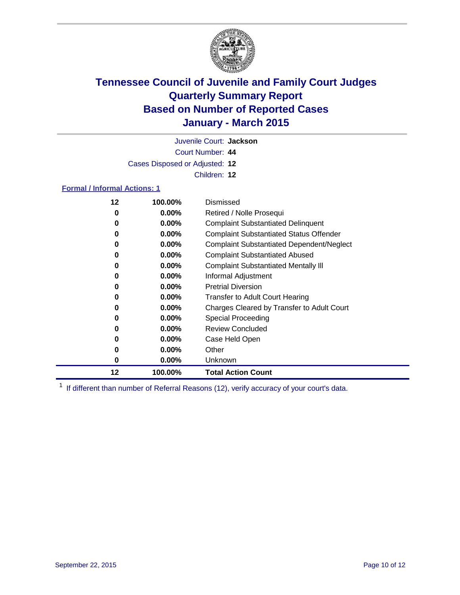

Juvenile Court: **Jackson**

Court Number: **44**

Cases Disposed or Adjusted: **12**

Children: **12**

#### **Formal / Informal Actions: 1**

| 12 | 100.00%  | Dismissed                                        |
|----|----------|--------------------------------------------------|
| 0  | $0.00\%$ | Retired / Nolle Prosequi                         |
| 0  | $0.00\%$ | <b>Complaint Substantiated Delinquent</b>        |
| 0  | $0.00\%$ | <b>Complaint Substantiated Status Offender</b>   |
| 0  | $0.00\%$ | <b>Complaint Substantiated Dependent/Neglect</b> |
| 0  | $0.00\%$ | <b>Complaint Substantiated Abused</b>            |
| 0  | $0.00\%$ | <b>Complaint Substantiated Mentally III</b>      |
| 0  | $0.00\%$ | Informal Adjustment                              |
| 0  | $0.00\%$ | <b>Pretrial Diversion</b>                        |
| 0  | $0.00\%$ | <b>Transfer to Adult Court Hearing</b>           |
| 0  | $0.00\%$ | Charges Cleared by Transfer to Adult Court       |
| 0  | $0.00\%$ | Special Proceeding                               |
| 0  | $0.00\%$ | <b>Review Concluded</b>                          |
| 0  | $0.00\%$ | Case Held Open                                   |
| 0  | $0.00\%$ | Other                                            |
| 0  | $0.00\%$ | <b>Unknown</b>                                   |
| 12 | 100.00%  | <b>Total Action Count</b>                        |

<sup>1</sup> If different than number of Referral Reasons (12), verify accuracy of your court's data.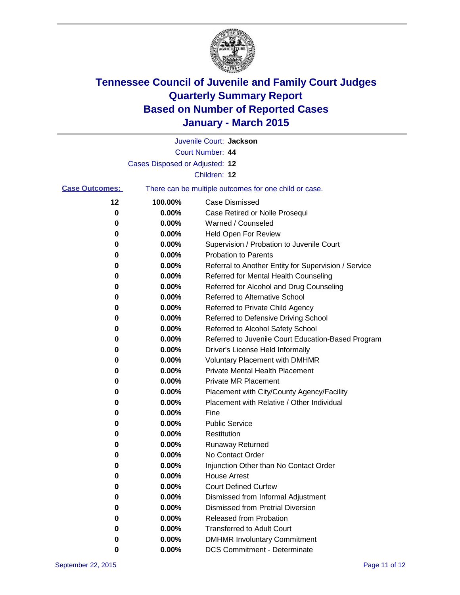

|                       |                                | Juvenile Court: Jackson                               |
|-----------------------|--------------------------------|-------------------------------------------------------|
|                       |                                | Court Number: 44                                      |
|                       | Cases Disposed or Adjusted: 12 |                                                       |
|                       |                                | Children: 12                                          |
| <b>Case Outcomes:</b> |                                | There can be multiple outcomes for one child or case. |
| 12                    | 100.00%                        | <b>Case Dismissed</b>                                 |
| 0                     | 0.00%                          | Case Retired or Nolle Prosequi                        |
| 0                     | 0.00%                          | Warned / Counseled                                    |
| 0                     | 0.00%                          | <b>Held Open For Review</b>                           |
| 0                     | 0.00%                          | Supervision / Probation to Juvenile Court             |
| 0                     | 0.00%                          | <b>Probation to Parents</b>                           |
| 0                     | 0.00%                          | Referral to Another Entity for Supervision / Service  |
| 0                     | 0.00%                          | Referred for Mental Health Counseling                 |
| 0                     | 0.00%                          | Referred for Alcohol and Drug Counseling              |
| 0                     | 0.00%                          | Referred to Alternative School                        |
| 0                     | 0.00%                          | Referred to Private Child Agency                      |
| 0                     | 0.00%                          | Referred to Defensive Driving School                  |
| 0                     | 0.00%                          | Referred to Alcohol Safety School                     |
| 0                     | 0.00%                          | Referred to Juvenile Court Education-Based Program    |
| 0                     | 0.00%                          | Driver's License Held Informally                      |
| 0                     | 0.00%                          | <b>Voluntary Placement with DMHMR</b>                 |
| 0                     | 0.00%                          | <b>Private Mental Health Placement</b>                |
| 0                     | 0.00%                          | <b>Private MR Placement</b>                           |
| 0                     | 0.00%                          | Placement with City/County Agency/Facility            |
| 0                     | 0.00%                          | Placement with Relative / Other Individual            |
| 0                     | 0.00%                          | Fine                                                  |
| 0                     | 0.00%                          | <b>Public Service</b>                                 |
| 0                     | 0.00%                          | Restitution                                           |
| 0                     | 0.00%                          | <b>Runaway Returned</b>                               |
| 0                     | 0.00%                          | No Contact Order                                      |
| 0                     | 0.00%                          | Injunction Other than No Contact Order                |
| 0                     | 0.00%                          | <b>House Arrest</b>                                   |
| 0                     | 0.00%                          | <b>Court Defined Curfew</b>                           |
| 0                     | 0.00%                          | Dismissed from Informal Adjustment                    |
| 0                     | 0.00%                          | <b>Dismissed from Pretrial Diversion</b>              |
| 0                     | 0.00%                          | Released from Probation                               |
| 0                     | 0.00%                          | <b>Transferred to Adult Court</b>                     |
| 0                     | 0.00%                          | <b>DMHMR Involuntary Commitment</b>                   |
| 0                     | $0.00\%$                       | <b>DCS Commitment - Determinate</b>                   |